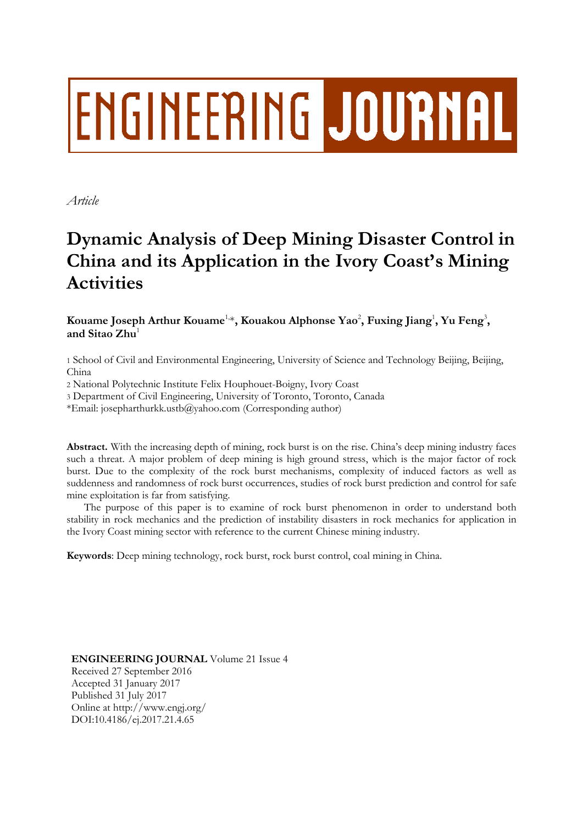# **ENGINEERING JOURNAL**

*Article*

# **Dynamic Analysis of Deep Mining Disaster Control in China and its Application in the Ivory Coast's Mining Activities**

 $\bf{K}$ ouame  $\bf{Joseph}$   $\bf{Arthur}\,\, \bf{K}$ ouame $^{\rm{1},*}$ ,  $\bf{K}$ ouakou  $\bf{Alphonse}\,\, \bf{Y}$ ao $^2$ ,  $\bf{Fuxing}\,\, \bf{Jiang}^1$ ,  $\bf{Yu}\,\, \bf{Feng}^3$ , **and Sitao Zhu**<sup>1</sup>

1 School of Civil and Environmental Engineering, University of Science and Technology Beijing, Beijing, China

2 National Polytechnic Institute Felix Houphouet-Boigny, Ivory Coast

3 Department of Civil Engineering, University of Toronto, Toronto, Canada

\*Email: josepharthurkk.ustb@yahoo.com (Corresponding author)

**Abstract.** With the increasing depth of mining, rock burst is on the rise. China's deep mining industry faces such a threat. A major problem of deep mining is high ground stress, which is the major factor of rock burst. Due to the complexity of the rock burst mechanisms, complexity of induced factors as well as suddenness and randomness of rock burst occurrences, studies of rock burst prediction and control for safe mine exploitation is far from satisfying.

The purpose of this paper is to examine of rock burst phenomenon in order to understand both stability in rock mechanics and the prediction of instability disasters in rock mechanics for application in the Ivory Coast mining sector with reference to the current Chinese mining industry.

**Keywords**: Deep mining technology, rock burst, rock burst control, coal mining in China.

**ENGINEERING JOURNAL** Volume 21 Issue 4 Received 27 September 2016 Accepted 31 January 2017 Published 31 July 2017 Online at http://www.engj.org/ DOI:10.4186/ej.2017.21.4.65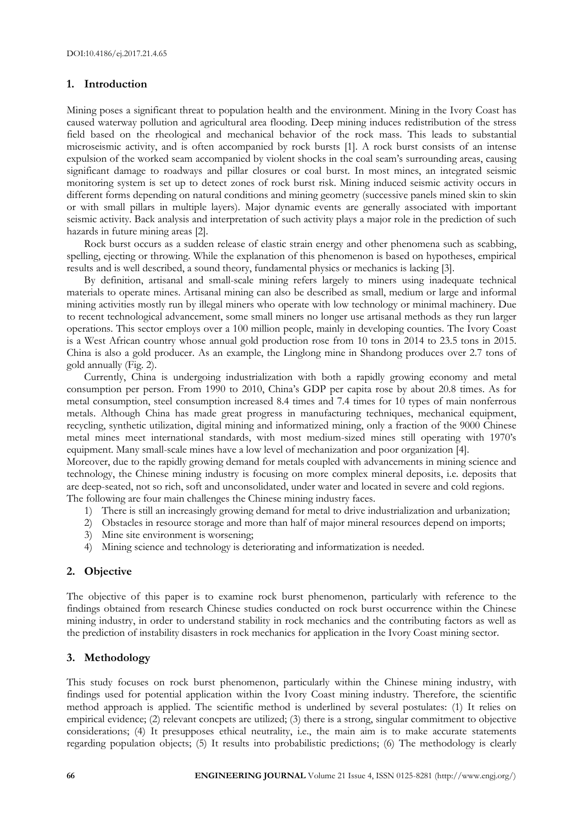# **1. Introduction**

Mining poses a significant threat to population health and the environment. Mining in the Ivory Coast has caused waterway pollution and agricultural area flooding. Deep mining induces redistribution of the stress field based on the rheological and mechanical behavior of the rock mass. This leads to substantial microseismic activity, and is often accompanied by rock bursts [1]. A rock burst consists of an intense expulsion of the worked seam accompanied by violent shocks in the coal seam's surrounding areas, causing significant damage to roadways and pillar closures or coal burst. In most mines, an integrated seismic monitoring system is set up to detect zones of rock burst risk. Mining induced seismic activity occurs in different forms depending on natural conditions and mining geometry (successive panels mined skin to skin or with small pillars in multiple layers). Major dynamic events are generally associated with important seismic activity. Back analysis and interpretation of such activity plays a major role in the prediction of such hazards in future mining areas [2].

Rock burst occurs as a sudden release of elastic strain energy and other phenomena such as scabbing, spelling, ejecting or throwing. While the explanation of this phenomenon is based on hypotheses, empirical results and is well described, a sound theory, fundamental physics or mechanics is lacking [3].

By definition, artisanal and small-scale mining refers largely to miners using inadequate technical materials to operate mines. Artisanal mining can also be described as small, medium or large and informal mining activities mostly run by illegal miners who operate with low technology or minimal machinery. Due to recent technological advancement, some small miners no longer use artisanal methods as they run larger operations. This sector employs over a 100 million people, mainly in developing counties. The Ivory Coast is a West African country whose annual gold production rose from 10 tons in 2014 to 23.5 tons in 2015. China is also a gold producer. As an example, the Linglong mine in Shandong produces over 2.7 tons of gold annually (Fig. 2).

Currently, China is undergoing industrialization with both a rapidly growing economy and metal consumption per person. From 1990 to 2010, China's GDP per capita rose by about 20.8 times. As for metal consumption, steel consumption increased 8.4 times and 7.4 times for 10 types of main nonferrous metals. Although China has made great progress in manufacturing techniques, mechanical equipment, recycling, synthetic utilization, digital mining and informatized mining, only a fraction of the 9000 Chinese metal mines meet international standards, with most medium-sized mines still operating with 1970's equipment. Many small-scale mines have a low level of mechanization and poor organization [4].

Moreover, due to the rapidly growing demand for metals coupled with advancements in mining science and technology, the Chinese mining industry is focusing on more complex mineral deposits, i.e. deposits that are deep-seated, not so rich, soft and unconsolidated, under water and located in severe and cold regions. The following are four main challenges the Chinese mining industry faces.

- 1) There is still an increasingly growing demand for metal to drive industrialization and urbanization;
- 2) Obstacles in resource storage and more than half of major mineral resources depend on imports;
- 3) Mine site environment is worsening;
- 4) Mining science and technology is deteriorating and informatization is needed.

# **2. Objective**

The objective of this paper is to examine rock burst phenomenon, particularly with reference to the findings obtained from research Chinese studies conducted on rock burst occurrence within the Chinese mining industry, in order to understand stability in rock mechanics and the contributing factors as well as the prediction of instability disasters in rock mechanics for application in the Ivory Coast mining sector.

# **3. Methodology**

This study focuses on rock burst phenomenon, particularly within the Chinese mining industry, with findings used for potential application within the Ivory Coast mining industry. Therefore, the scientific method approach is applied. The scientific method is underlined by several postulates: (1) It relies on empirical evidence; (2) relevant concpets are utilized; (3) there is a strong, singular commitment to objective considerations; (4) It presupposes ethical neutrality, i.e., the main aim is to make accurate statements regarding population objects; (5) It results into probabilistic predictions; (6) The methodology is clearly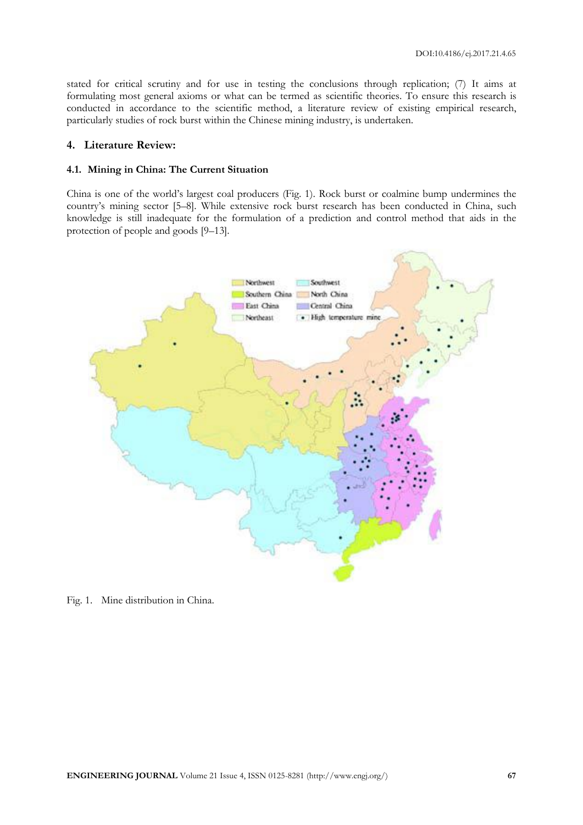stated for critical scrutiny and for use in testing the conclusions through replication; (7) It aims at formulating most general axioms or what can be termed as scientific theories. To ensure this research is conducted in accordance to the scientific method, a literature review of existing empirical research, particularly studies of rock burst within the Chinese mining industry, is undertaken.

#### **4. Literature Review:**

#### **4.1. Mining in China: The Current Situation**

China is one of the world's largest coal producers (Fig. 1). Rock burst or coalmine bump undermines the country's mining sector [5–8]. While extensive rock burst research has been conducted in China, such knowledge is still inadequate for the formulation of a prediction and control method that aids in the protection of people and goods [9–13].



Fig. 1. Mine distribution in China.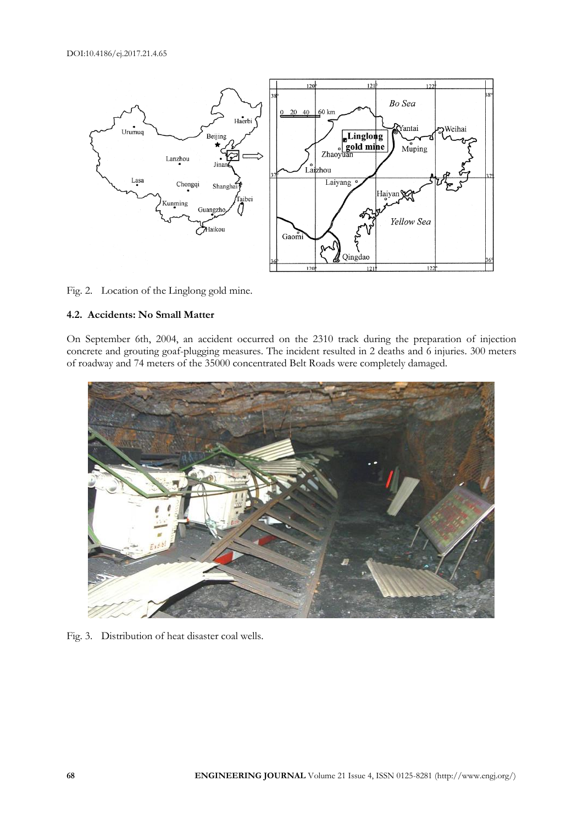

#### Fig. 2. Location of the Linglong gold mine.

# **4.2. Accidents: No Small Matter**

On September 6th, 2004, an accident occurred on the 2310 track during the preparation of injection concrete and grouting goaf-plugging measures. The incident resulted in 2 deaths and 6 injuries. 300 meters of roadway and 74 meters of the 35000 concentrated Belt Roads were completely damaged.



Fig. 3. Distribution of heat disaster coal wells.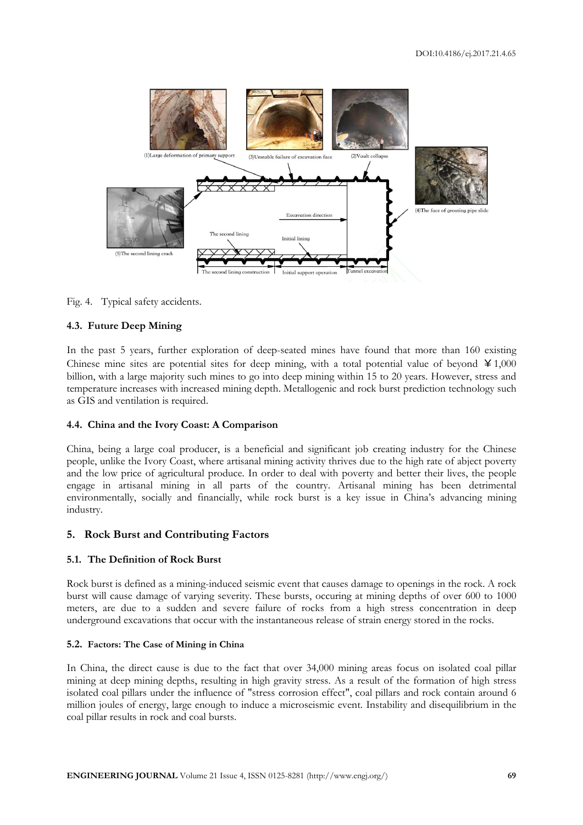

Fig. 4. Typical safety accidents.

# **4.3. Future Deep Mining**

In the past 5 years, further exploration of deep-seated mines have found that more than 160 existing Chinese mine sites are potential sites for deep mining, with a total potential value of beyond  $\yen$ 1,000 billion, with a large majority such mines to go into deep mining within 15 to 20 years. However, stress and temperature increases with increased mining depth. Metallogenic and rock burst prediction technology such as GIS and ventilation is required.

#### **4.4. China and the Ivory Coast: A Comparison**

China, being a large coal producer, is a beneficial and significant job creating industry for the Chinese people, unlike the Ivory Coast, where artisanal mining activity thrives due to the high rate of abject poverty and the low price of agricultural produce. In order to deal with poverty and better their lives, the people engage in artisanal mining in all parts of the country. Artisanal mining has been detrimental environmentally, socially and financially, while rock burst is a key issue in China's advancing mining industry.

# **5. Rock Burst and Contributing Factors**

#### **5.1. The Definition of Rock Burst**

Rock burst is defined as a mining-induced seismic event that causes damage to openings in the rock. A rock burst will cause damage of varying severity. These bursts, occuring at mining depths of over 600 to 1000 meters, are due to a sudden and severe failure of rocks from a high stress concentration in deep underground excavations that occur with the instantaneous release of strain energy stored in the rocks.

#### **5.2. Factors: The Case of Mining in China**

In China, the direct cause is due to the fact that over 34,000 mining areas focus on isolated coal pillar mining at deep mining depths, resulting in high gravity stress. As a result of the formation of high stress isolated coal pillars under the influence of "stress corrosion effect", coal pillars and rock contain around 6 million joules of energy, large enough to induce a microseismic event. Instability and disequilibrium in the coal pillar results in rock and coal bursts.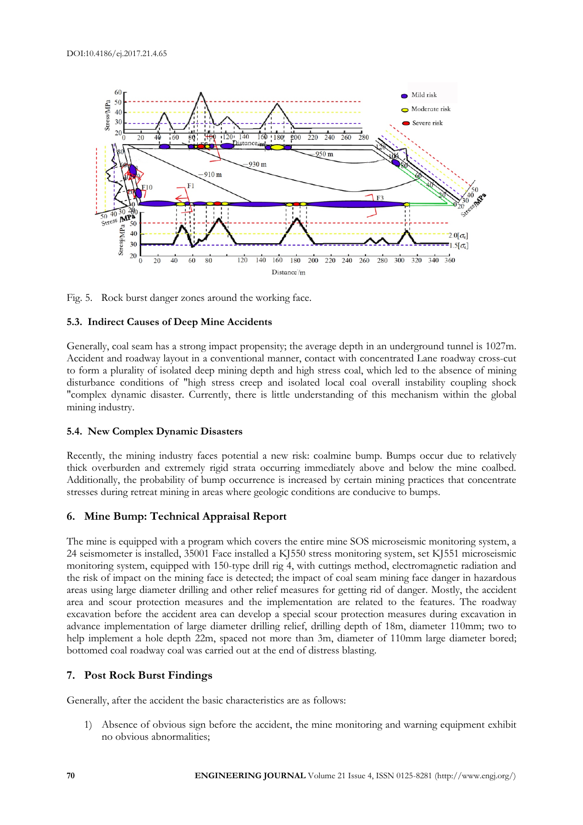

Fig. 5. Rock burst danger zones around the working face.

# **5.3. Indirect Causes of Deep Mine Accidents**

Generally, coal seam has a strong impact propensity; the average depth in an underground tunnel is 1027m. Accident and roadway layout in a conventional manner, contact with concentrated Lane roadway cross-cut to form a plurality of isolated deep mining depth and high stress coal, which led to the absence of mining disturbance conditions of "high stress creep and isolated local coal overall instability coupling shock "complex dynamic disaster. Currently, there is little understanding of this mechanism within the global mining industry.

# **5.4. New Complex Dynamic Disasters**

Recently, the mining industry faces potential a new risk: coalmine bump. Bumps occur due to relatively thick overburden and extremely rigid strata occurring immediately above and below the mine coalbed. Additionally, the probability of bump occurrence is increased by certain mining practices that concentrate stresses during retreat mining in areas where geologic conditions are conducive to bumps.

# **6. Mine Bump: Technical Appraisal Report**

The mine is equipped with a program which covers the entire mine SOS microseismic monitoring system, a 24 seismometer is installed, 35001 Face installed a KJ550 stress monitoring system, set KJ551 microseismic monitoring system, equipped with 150-type drill rig 4, with cuttings method, electromagnetic radiation and the risk of impact on the mining face is detected; the impact of coal seam mining face danger in hazardous areas using large diameter drilling and other relief measures for getting rid of danger. Mostly, the accident area and scour protection measures and the implementation are related to the features. The roadway excavation before the accident area can develop a special scour protection measures during excavation in advance implementation of large diameter drilling relief, drilling depth of 18m, diameter 110mm; two to help implement a hole depth 22m, spaced not more than 3m, diameter of 110mm large diameter bored; bottomed coal roadway coal was carried out at the end of distress blasting.

# **7. Post Rock Burst Findings**

Generally, after the accident the basic characteristics are as follows:

1) Absence of obvious sign before the accident, the mine monitoring and warning equipment exhibit no obvious abnormalities;